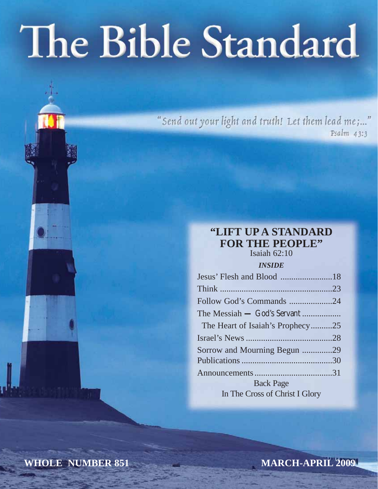# The Bible Standard

"Send out your light and truth! Let them lead me;..."  $Psalm$  43:3

# **"LIFT UP A STANDARD FOR THE PEOPLE"**

Isaiah 62:10

# *INSIDE*

| Follow God's Commands 24         |  |
|----------------------------------|--|
|                                  |  |
| The Heart of Isaiah's Prophecy25 |  |
|                                  |  |
| Sorrow and Mourning Begun 29     |  |
|                                  |  |
|                                  |  |
| <b>Back Page</b>                 |  |
| In The Cross of Christ I Glory   |  |
|                                  |  |

**WHOLE NUMBER 851**

**MARCH-APRIL 2009**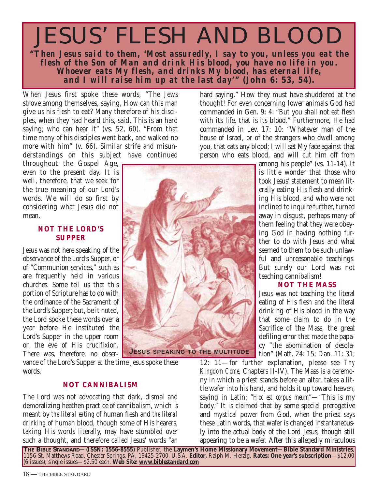# JESUS' FLESH AND BLOOD

**"***Then Jesus said to them, 'Most assuredly, I say to you, unless you eat the flesh of the Son of Man and drink His blood, you have no life in you. Whoever eats My flesh, and drinks My blood, has eternal life, and I will raise him up at the last day'***" (John 6: 53, 54).**

When Jesus first spoke these words, "The Jews strove among themselves, saying, How can this man give us his flesh to eat? Many therefore of his disciples, when they had heard this, said, This is an hard saying; who can hear it" (vs. 52, 60). "From that time many of his disciples went back, and walked no more with him" (v. 66). Similar strife and misunderstandings on this subject have continued

throughout the Gospel Age, even to the present day. It is well, therefore, that we seek for the true meaning of our Lord's words. We will do so first by considering what Jesus did not mean.

# **NOT THE LORD'S SUPPER**

Jesus was not here speaking of the observance of the Lord's Supper, or of "Communion services," such as are frequently held in various churches. Some tell us that this portion of Scripture has to do with the ordinance of the Sacrament of the Lord's Supper; but, be it noted, the Lord spoke these words over a year before He instituted the Lord's Supper in the upper room on the eve of His crucifixion. There was, therefore, no obser-

vance of the Lord's Supper at the time Jesus spoke these words.

# **NOT CANNIBALISM**

The Lord was not advocating that dark, dismal and demoralizing heathen practice of cannibalism, which is meant by *the literal eating* of human flesh and *the literal drinking* of human blood, though some of His hearers, taking His words literally, may have stumbled over such a thought, and therefore called Jesus' words "an

**JESUS SPEAKING TO THE MULTITUDE**

hard saying." How they must have shuddered at the thought! For even concerning lower animals God had commanded in Gen. 9: 4: "But you shall not eat flesh with its life, that is its blood." Furthermore, He had commanded in Lev. 17: 10: "Whatever man of the house of Israel, or of the strangers who dwell among you, that eats any blood; I will set My face against that person who eats blood, and will cut him off from

> among his people" (vs. 11-14). It is little wonder that those who took Jesus' statement to mean literally eating His flesh and drinking His blood, and who were not inclined to inquire further, turned away in disgust, perhaps many of them feeling that they were obeying God in having nothing further to do with Jesus and what seemed to them to be such unlawful and unreasonable teachings. But surely our Lord was not teaching cannibalism!

# **NOT THE MASS**

Jesus was not teaching the literal eating of His flesh and the literal drinking of His blood in the way that some claim to do in the Sacrifice of the Mass, the great defiling error that made the papacy "the abomination of desolation" (Matt. 24: 15; Dan. 11: 31;

12: 11—for further explanation, please see *Thy Kingdom Come*, Chapters II-IV). The Mass is a ceremony in which a priest stands before an altar, takes a little wafer into his hand, and holds it up toward heaven, saying in Latin: "*Hoc est corpus meum*"—"This is my body." It is claimed that by some special prerogative and mystical power from God, when the priest says these Latin words, that wafer is changed instantaneously into the actual body of the Lord Jesus, though still appearing to be a wafer. After this allegedly miraculous

**THE BIBLE STANDARD—(ISSN: 1556-8555)** Publisher, the **Laymen's Home Missionary Movement—Bible Standard Ministries**, 1156 St. Matthews Road, Chester Springs, PA, 19425-2700, U.S.A. **Editor,** Ralph M. Herzig. **Rates: One year's subscription**—\$12.00 (6 issues); single issues—\$2.50 each. **Web Site:** *www.biblestandard.com*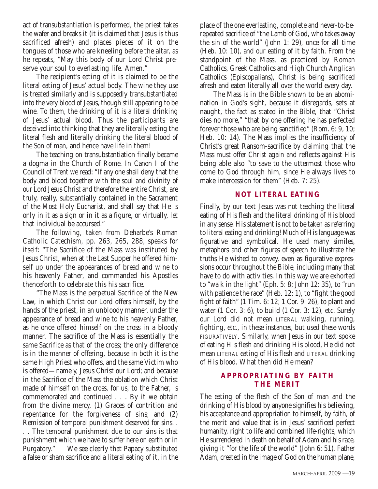act of transubstantiation is performed, the priest takes the wafer and breaks it (it is claimed that Jesus is thus sacrificed afresh) and places pieces of it on the tongues of those who are kneeling before the altar, as he repeats, "May this body of our Lord Christ preserve your soul to everlasting life. Amen."

The recipient's eating of it is claimed to be the literal eating of Jesus' actual body. The wine they use is treated similarly and is supposedly transubstantiated into the very blood of Jesus, though still appearing to be wine. To them, the drinking of it is a literal drinking of Jesus' actual blood. Thus the participants are deceived into thinking that they are literally eating the literal flesh and literally drinking the literal blood of the Son of man, and hence have life in them!

The teaching on transubstantiation finally became a dogma in the Church of Rome. In Canon I of the Council of Trent we read: "If any one shall deny that the body and blood together with the soul and divinity of our Lord Jesus Christ and therefore the entire Christ, are truly, really, substantially contained in the Sacrament of the Most Holy Eucharist, and shall say that He is only in it as a sign or in it as a figure, or virtually, let that individual be accursed."

The following, taken from Deharbe's Roman Catholic Catechism, pp. 263, 265, 288, speaks for itself: "The Sacrifice of the Mass was instituted by Jesus Christ, when at the Last Supper he offered himself up under the appearances of bread and wine to his heavenly Father, and commanded his Apostles thenceforth to celebrate this his sacrifice.

"The Mass is the perpetual Sacrifice of the New Law, in which Christ our Lord offers himself, by the hands of the priest, in an unbloody manner, under the appearance of bread and wine to his heavenly Father, as he once offered himself on the cross in a bloody manner. The sacrifice of the Mass is essentially the same Sacrifice as that of the cross; the only difference is in the manner of offering, because in both it is the same High Priest who offers, and the same Victim who is offered—namely, Jesus Christ our Lord; and because in the Sacrifice of the Mass the oblation which Christ made of himself on the cross, for us, to the Father, is commemorated and continued . . . By it we obtain from the divine mercy, (1) Graces of contrition and repentance for the forgiveness of sins; and (2) Remission of temporal punishment deserved for sins. .

. . The temporal punishment due to our sins is that punishment which we have to suffer here on earth or in Purgatory." We see clearly that Papacy substituted a false or sham sacrifice and a literal eating of it, in the place of the one everlasting, complete and never-to-berepeated sacrifice of "the Lamb of God, who takes away the sin of the world" (John 1: 29), once for all time (Heb. 10: 10), and our eating of it by faith. From the standpoint of the Mass, as practiced by Roman Catholics, Greek Catholics and High Church Anglican Catholics (Episcopalians), Christ is being sacrificed afresh and eaten literally all over the world every day.

The Mass is in the Bible shown to be an abomination in God's sight, because it disregards, sets at naught, the fact as stated in the Bible, that "Christ dies no more," "that by one offering he has perfected forever those who are being sanctified" (Rom. 6: 9, 10; Heb. 10: 14). The Mass implies the insufficiency of Christ's great Ransom-sacrifice by claiming that the Mass must offer Christ again and reflects against His being able also "to save to the uttermost those who come to God through him, since He always lives to make intercession for them" (Heb. 7: 25).

# **NOT LITERAL EATING**

Finally, by our text Jesus was not teaching the literal eating of His flesh and the literal drinking of His blood in any sense. His statement is not to be taken as referring to literal eating and drinking! Much of His language was figurative and symbolical. He used many similes, metaphors and other figures of speech to illustrate the truths He wished to convey, even as figurative expressions occur throughout the Bible, including many that have to do with activities. In this way we are exhorted to "walk in the light" (Eph. 5: 8; John 12: 35), to "run with patience the race" (Heb. 12: 1), to "fight the good fight of faith" (1 Tim. 6: 12; 1 Cor. 9: 26), to plant and water (1 Cor. 3: 6), to build (1 Cor. 3: 12), etc. Surely our Lord did not mean LITERAL walking, running, fighting, etc., in these instances, but used these words FIGURATIVELY. Similarly, when Jesus in our text spoke of eating His flesh and drinking His blood, He did not mean LITERAL eating of His flesh and LITERAL drinking of His blood. What then did He mean?

# **APPROPRIATING BY FAITH THE MERIT**

The eating of the flesh of the Son of man and the drinking of His blood by anyone signifies his believing, his acceptance and appropriation to himself, by faith, of the merit and value that is in Jesus' sacrificed perfect humanity, right to life and combined life-rights, which He surrendered in death on behalf of Adam and his race, giving it "for the life of the world" (John 6: 51). Father Adam, created in the image of God on the human plane,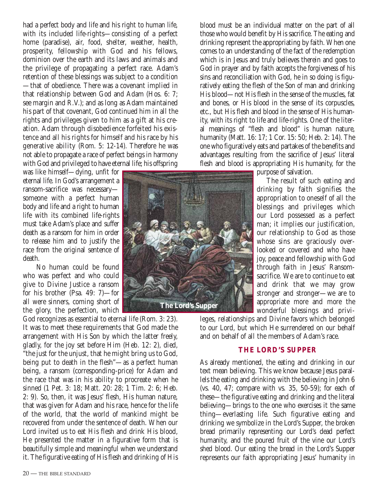had a perfect body and life and his right to human life, with its included life-rights—consisting of a perfect home (paradise), air, food, shelter, weather, health, prosperity, fellowship with God and his fellows, dominion over the earth and its laws and animals and the privilege of propagating a perfect race. Adam's retention of these blessings was subject to a condition —that of obedience. There was a covenant implied in that relationship between God and Adam (Hos. 6: 7; see margin and R.V.); and as long as Adam maintained his part of that covenant, God continued him in all the rights and privileges given to him as a gift at his creation. Adam through disobedience forfeited his existence and all his rights for himself and his race by his generative ability (Rom. 5: 12-14). Therefore he was not able to propagate a race of perfect beings in harmony with God and privileged to have eternal life; his offspring

was like himself—dying, unfit for eternal life. In God's arrangement a ransom-sacrifice was necessary someone with a perfect human body and life and a right to human life with its combined life-rights must take Adam's place and suffer death as a ransom for him in order to release him and to justify the race from the original sentence of death.

No human could be found who was perfect and who could give to Divine Justice a ransom for his brother (Psa. 49: 7)—for all were sinners, coming short of the glory, the perfection, which

God recognizes as essential to eternal life (Rom. 3: 23). It was to meet these requirements that God made the arrangement with His Son by which the latter freely, gladly, for the joy set before Him (Heb. 12: 2), died, "the just for the unjust, that he might bring us to God, being put to death in the flesh"—as a perfect human being, a ransom (corresponding-price) for Adam and the race that was in his ability to procreate when he sinned (1 Pet. 3: 18; Matt. 20: 28; 1 Tim. 2: 6; Heb. 2: 9). So, then, it was Jesus' flesh, His human nature, that was given for Adam and his race, hence for the life of the world, that the world of mankind might be recovered from under the sentence of death. When our Lord invited us to eat His flesh and drink His blood, He presented the matter in a figurative form that is beautifully simple and meaningful when we understand it. The figurative eating of His flesh and drinking of His blood must be an individual matter on the part of all those who would benefit by His sacrifice. The eating and drinking represent the appropriating by faith. When one comes to an understanding of the fact of the redemption which is in Jesus and truly believes therein and goes to God in prayer and by faith accepts the forgiveness of his sins and reconciliation with God, he in so doing is figuratively eating the flesh of the Son of man and drinking His blood—not His flesh in the sense of the muscles, fat and bones, or His blood in the sense of its corpuscles, etc., but His flesh and blood in the sense of His humanity, with its right to life and life-rights. One of the literal meanings of "flesh and blood" is human nature, humanity (Matt. 16: 17; 1 Cor. 15: 50; Heb. 2: 14). The one who figuratively eats and partakes of the benefits and advantages resulting from the sacrifice of Jesus' literal flesh and blood is appropriating His humanity, for the



purpose of salvation.

The result of such eating and drinking by faith signifies the appropriation to oneself of all the blessings and privileges which our Lord possessed as a perfect man; it implies our justification, our relationship to God as those whose sins are graciously overlooked or covered and who have joy, peace and fellowship with God through faith in Jesus' Ransomsacrifice. We are to continue to eat and drink that we may grow stronger and stronger—we are to appropriate more and more the wonderful blessings and privi-

leges, relationships and Divine favors which belonged to our Lord, but which He surrendered on our behalf and on behalf of all the members of Adam's race.

# **THE LORD'S SUPPER**

As already mentioned, the eating and drinking in our text mean believing. This we know because Jesus parallels the eating and drinking with the believing in John 6 (vs. 40, 47; compare with vs. 35, 50-59); for each of these—the figurative eating and drinking and the literal believing—brings to the one who exercises it the same thing—everlasting life. Such figurative eating and drinking we symbolize in the Lord's Supper, the broken bread primarily representing our Lord's dead perfect humanity, and the poured fruit of the vine our Lord's shed blood. Our eating the bread in the Lord's Supper represents our faith appropriating Jesus' humanity in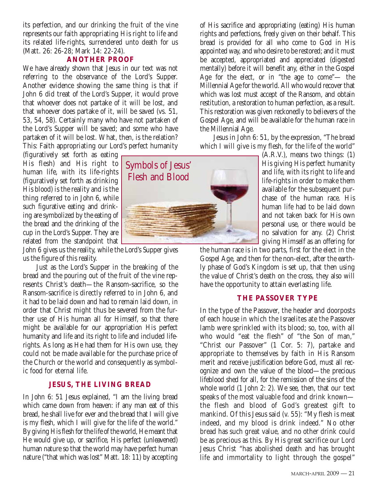its perfection, and our drinking the fruit of the vine represents our faith appropriating His right to life and its related life-rights, surrendered unto death for us (Matt. 26: 26-28; Mark 14: 22-24).

# **ANOTHER PROOF**

We have already shown that Jesus in our text was not referring to the observance of the Lord's Supper. Another evidence showing the same thing is that if John 6 did treat of the Lord's Supper, it would prove that whoever does not partake of it will be lost, and that whoever does partake of it, will be saved (vs. 51, 53, 54, 58). Certainly many who have not partaken of the Lord's Supper will be saved; and some who have partaken of it will be lost. What, then, is the relation? This: Faith appropriating our Lord's perfect humanity

(figuratively set forth as eating His flesh) and His right to human life, with its life-rights (figuratively set forth as drinking His blood) is the reality and is the thing referred to in John 6, while such figurative eating and drinking are symbolized by the eating of the bread and the drinking of the cup in the Lord's Supper. They are related from the standpoint that

John 6 gives us the reality, while the Lord's Supper gives us the figure of this reality.

Just as the Lord's Supper in the breaking of the bread and the pouring out of the fruit of the vine represents Christ's death—the Ransom-sacrifice, so the Ransom-sacrifice is directly referred to in John 6, and it had to be laid down and had to remain laid down, in order that Christ might thus be severed from the further use of His human all for Himself, so that there might be available for our appropriation His perfect humanity and life and its right to life and included liferights. As long as He had them for His own use, they could not be made available for the purchase price of the Church or the world and consequently as symbolic food for eternal life.

# **JESUS, THE LIVING BREAD**

In John 6: 51 Jesus explained, "I am the living bread which came down from heaven: if any man eat of this bread, he shall live for ever and the bread that I will give is my flesh, which I will give for the life of the world." By giving His flesh for the life of the world, He meant that He would give up, or sacrifice, His perfect (unleavened) human nature so that the world may have perfect human nature ("that which was lost" Matt. 18: 11) by accepting



of His sacrifice and appropriating (eating) His human rights and perfections, freely given on their behalf. This bread is provided for all who come to God in His appointed way, and who desire to be restored; and it must be accepted, appropriated and appreciated (digested mentally) before it will benefit any, either in the Gospel Age for the elect, or in "the age to come"— the Millennial Age for the world. All who would recover that which was lost must accept of the Ransom, and obtain restitution, a restoration to human perfection, as a result. This restoration was given reckonedly to believers of the Gospel Age, and will be available for the human race in the Millennial Age.

Jesus in John 6: 51, by the expression, "The bread which I will give is my flesh, for the life of the world"

> (A.R.V.), means two things: (1) His giving His perfect humanity and life, with its right to life and life-rights in order to make them available for the subsequent purchase of the human race. His human life had to be laid down and not taken back for His own personal use, or there would be no salvation for any. (2) Christ giving Himself as an offering for

the human race is in two parts, first for the elect in the Gospel Age, and then for the non-elect, after the earthly phase of God's Kingdom is set up, that then using the value of Christ's death on the cross, they also will have the opportunity to attain everlasting life.

# **THE PASSOVER TYPE**

In the type of the Passover, the header and doorposts of each house in which the Israelites ate the Passover lamb were sprinkled with its blood; so, too, with all who would "eat the flesh" of "the Son of man," "Christ our Passover" (1 Cor. 5: 7), partake and appropriate to themselves by faith in His Ransom merit and receive justification before God, must all recognize and own the value of the blood—the precious lifeblood shed for all, for the remission of the sins of the whole world (1 John 2: 2). We see, then, that our text speaks of the most valuable food and drink known the flesh and blood of God's greatest gift to mankind. Of this Jesus said (v. 55): "My flesh is meat indeed, and my blood is drink indeed." No other bread has such great value, and no other drink could be as precious as this. By His great sacrifice our Lord Jesus Christ "has abolished death and has brought life and immortality to light through the gospel"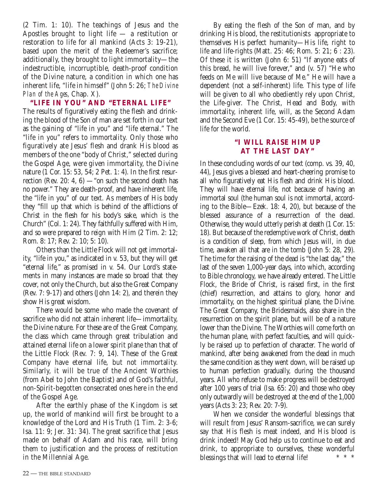(2 Tim. 1: 10). The teachings of Jesus and the Apostles brought to light life — a restitution or restoration to life for all mankind (Acts 3: 19-21), based upon the merit of the Redeemer's sacrifice; additionally, they brought to light immortality—the indestructible, incorruptible, death-proof condition of the Divine nature, a condition in which one has inherent life, "life in himself" (John 5: 26; *The Divine Plan of the Ages*, Chap. X).

**"LIFE IN YOU" AND "ETERNAL LIFE"**  The results of figuratively eating the flesh and drinking the blood of the Son of man are set forth in our text as the gaining of "life in you" and "life eternal." The "life in you" refers to immortality. Only those who figuratively ate Jesus' flesh and drank His blood as members of the one "body of Christ," selected during the Gospel Age, were given immortality, the Divine nature (1 Cor. 15: 53, 54; 2 Pet. 1: 4). In the first resurrection (Rev. 20: 4, 6) — "on such the second death has no power." They are death-proof, and have inherent life, the "life in you" of our text. As members of His body they "fill up that which is behind of the afflictions of Christ in the flesh for his body's sake, which is the Church" (Col. 1: 24). They faithfully suffered with Him, and so were prepared to reign with Him (2 Tim. 2: 12; Rom. 8: 17; Rev. 2: 10; 5: 10).

Others than the Little Flock will not get immortality, "life in you," as indicated in v. 53, but they will get "eternal life," as promised in v. 54. Our Lord's statements in many instances are made so broad that they cover, not only the Church, but also the Great Company (Rev. 7: 9-17) and others (John 14: 2), and therein they show His great wisdom.

There would be some who made the covenant of sacrifice who did not attain inherent life—immortality, the Divine nature. For these are of the Great Company, the class which came through great tribulation and attained eternal life on a lower spirit plane than that of the Little Flock (Rev. 7: 9, 14). These of the Great Company have eternal life, but not immortality. Similarly, it will be true of the Ancient Worthies (from Abel to John the Baptist) and of God's faithful, non-Spirit-begotten consecrated ones here in the end of the Gospel Age.

After the earthly phase of the Kingdom is set up, the world of mankind will first be brought to a knowledge of the Lord and His Truth (1 Tim. 2: 3-6; Isa. 11: 9; Jer. 31: 34). The great sacrifice that Jesus made on behalf of Adam and his race, will bring them to justification and the process of restitution in the Millennial Age.

By eating the flesh of the Son of man, and by drinking His blood, the restitutionists appropriate to themselves His perfect humanity—His life, right to life and life-rights (Matt. 25: 46; Rom. 5: 21; 6 : 23). Of these it is written (John 6: 51) "If anyone eats of this bread, he will live forever," and (v. 57) "He who feeds on Me will live because of Me." He will have a dependent (not a self-inherent) life. This type of life will be given to all who obediently rely upon Christ, the Life-giver. The Christ, Head and Body, with immortality, inherent life, will, as the Second Adam and the Second Eve (1 Cor. 15: 45-49), be the source of life for the world.

# **"I WILL RAISE HIM UP AT THE LAST DAY"**

In these concluding words of our text (comp. vs. 39, 40, 44), Jesus gives a blessed and heart-cheering promise to all who figuratively eat His flesh and drink His blood. They will have eternal life, not because of having an immortal soul (the human soul is not immortal, according to the Bible—Ezek. 18: 4, 20), but because of the blessed assurance of a resurrection of the dead. Otherwise, they would utterly perish at death (1 Cor. 15: 18). But because of the redemptive work of Christ, death is a condition of sleep, from which Jesus will, in due time, awaken all that are in the tomb (John 5: 28, 29). The time for the raising of the dead is "the last day," the last of the seven 1,000-year days, into which, according to Bible chronology, we have already entered. The Little Flock, the Bride of Christ, is raised first, in the first (chief) resurrection, and attains to glory, honor and immortality, on the highest spiritual plane, the Divine. The Great Company, the Bridesmaids, also share in the resurrection on the spirit plane, but will be of a nature lower than the Divine. The Worthies will come forth on the human plane, with perfect faculties, and will quickly be raised up to perfection of character. The world of mankind, after being awakened from the dead in much the same condition as they went down, will be raised up to human perfection gradually, during the thousand years. All who refuse to make progress will be destroyed after 100 years of trial (Isa. 65: 20) and those who obey only outwardly will be destroyed at the end of the 1,000 years (Acts 3: 23; Rev. 20: 7-9).

When we consider the wonderful blessings that will result from Jesus' Ransom-sacrifice, we can surely say that His flesh is meat indeed, and His blood is drink indeed! May God help us to continue to eat and drink, to appropriate to ourselves, these wonderful blessings that will lead to eternal life!  $* * * *$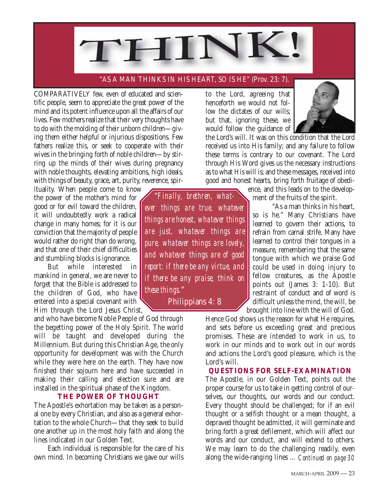

# "AS A MAN THINKS IN HIS HEART, SO IS HE" (Prov. 23: 7).

COMPARATIVELY few, even of educated and scientific people, seem to appreciate the great power of the mind and its potent influence upon all the affairs of our lives. Few mothers realize that their very thoughts have to do with the molding of their unborn children—giving them either helpful or injurious dispositions. Few fathers realize this, or seek to cooperate with their wives in the bringing forth of noble children—by stirring up the minds of their wives during pregnancy with noble thoughts, elevating ambitions, high ideals, with things of beauty, grace, art, purity, reverence, spir-

ituality. When people come to know the power of the mother's mind for good or for evil toward the children, it will undoubtedly work a radical change in many homes; for it is our conviction that the majority of people would rather do right than do wrong, and that one of their chief difficulties and stumbling blocks is ignorance.

But while interested in mankind in general, we are never to forget that the Bible is addressed to the children of God, who have entered into a special covenant with Him through the Lord Jesus Christ,

and who have become Noble People of God through the begetting power of the Holy Spirit. The world will be taught and developed during the Millennium. But during this Christian Age, the only opportunity for development was with the Church while they were here on the earth. They have now finished their sojourn here and have succeeded in making their calling and election sure and are installed in the spiritual phase of the Kingdom.

# **THE POWER OF THOUGHT**

The Apostle's exhortation may be taken as a personal one by every Christian, and also as a general exhortation to the whole Church—that they seek to build one another up in the most holy faith and along the lines indicated in our Golden Text.

Each individual is responsible for the care of his own mind. In becoming Christians we gave our wills to the Lord, agreeing that henceforth we would not follow the dictates of our wills; but that, ignoring these, we would follow the guidance of



the Lord's will. It was on this condition that the Lord received us into His family; and any failure to follow these terms is contrary to our covenant. The Lord through His Word gives us the necessary instructions as to what His will is; and these messages, received into good and honest hearts, bring forth fruitage of obedi-

"*Finally, brethren, whatever things are true, whatever things are honest, whatever things are just, whatever things are pure, whatever things are lovely, and whatever things are of good report: if there be any virtue, and if there be any praise, think on these things.*"

Philippians 4: 8

ence, and this leads on to the development of the fruits of the spirit.

"As a man thinks in his heart, so is he." Many Christians have learned to govern their actions, to refrain from carnal strife. Many have learned to control their tongues in a measure, remembering that the same tongue with which we praise God could be used in doing injury to fellow creatures, as the Apostle points out (James 3: 1-10). But restraint of conduct and of word is difficult unless the mind, the will, be brought into line with the will of God.

Hence God shows us the reason for what He requires, and sets before us exceeding great and precious promises. These are intended to work in us, to work in our minds and to work out in our words and actions the Lord's good pleasure, which is the Lord's will.

# **QUESTIONS FOR SELF-EXAMINATION**

The Apostle, in our Golden Text, points out the proper course for us to take in getting control of ourselves, our thoughts, our words and our conduct. Every thought should be challenged; for if an evil thought or a selfish thought or a mean thought, a depraved thought be admitted, it will germinate and bring forth a great defilement, which will affect our words and our conduct, and will extend to others. We may learn to do the challenging readily, even along the wide-ranging lines ... *Continued on page 30*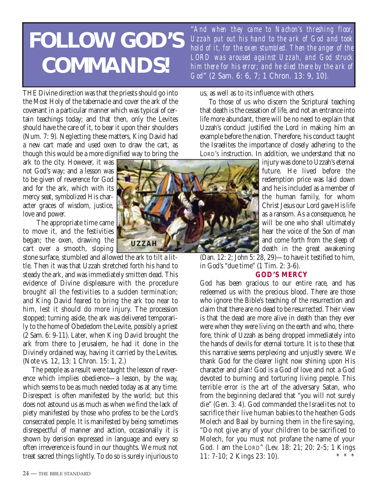# **FOLLOW GOD'S COMMANDS!**

THE Divine direction was that the priests should go into the Most Holy of the tabernacle and cover the ark of the covenant in a particular manner which was typical of certain teachings today; and that then, only the Levites should have the care of it, to bear it upon their shoulders (Num. 7: 9). Neglecting these matters, King David had a new cart made and used oxen to draw the cart, as though this would be a more dignified way to bring the

ark to the city. However, it was not God's way; and a lesson was to be given of reverence for God and for the ark, which with its mercy seat, symbolized His character graces of wisdom, justice, love and power.

The appropriate time came to move it, and the festivities began; the oxen, drawing the cart over a smooth, sloping

stone surface, stumbled and allowed the ark to tilt a little. Then it was that Uzzah stretched forth his hand to steady the ark, and was immediately smitten dead. This evidence of Divine displeasure with the procedure brought all the festivities to a sudden termination; and King David feared to bring the ark too near to him, lest it should do more injury. The procession stopped; turning aside, the ark was delivered temporarily to the home of Obededom the Levite, possibly a priest (2 Sam. 6: 9-11). Later, when King David brought the ark from there to Jerusalem, he had it done in the Divinely ordained way, having it carried by the Levites. (Note vs. 12, 13; 1 Chron. 15: 1, 2.)

The people as a result were taught the lesson of reverence which implies obedience—a lesson, by the way, which seems to be as much needed today as at any time. Disrespect is often manifested by the world; but this does not astound us as much as when we find the lack of piety manifested by those who profess to be the Lord's consecrated people. It is manifested by being sometimes disrespectful of manner and action, occasionally it is shown by derision expressed in language and every so often irreverence is found in our thoughts. We must not treat sacred things lightly. To do so is surely injurious to



"*And when they came to Nachon's threshing floor, Uzzah put out his hand to the ark of God and took hold of it, for the oxen stumbled. Then the anger of the LORD was aroused against Uzzah, and God struck him there for his error; and he died there by the ark of God*" (2 Sam. 6: 6, 7; 1 Chron. 13: 9, 10).

us, as well as to its influence with others.

To those of us who discern the Scriptural teaching that death is the cessation of life, and not an entrance into life more abundant, there will be no need to explain that Uzzah's conduct justified the Lord in making him an example before the nation. Therefore, his conduct taught the Israelites the importance of closely adhering to the LORD'S instruction. In addition, we understand that no

> injury was done to Uzzah's eternal future. He lived before the redemption price was laid down and he is included as a member of the human family, for whom Christ Jesus our Lord gave His life as a ransom. As a consequence, he will be one who shall ultimately hear the voice of the Son of man and come forth from the sleep of death in the great awakening

(Dan. 12: 2; John 5: 28, 29)—to have it testified to him, in God's "due time" (1 Tim. 2: 3-6).

# **GOD'S MERCY**

God has been gracious to our entire race, and has redeemed us with the precious blood. There are those who ignore the Bible's teaching of the resurrection and claim that there are no dead to be resurrected. Their view is that the dead are more alive in death than they ever were when they were living on the earth and who, therefore, think of Uzzah as being dropped immediately into the hands of devils for eternal torture. It is to these that this narrative seems perplexing and unjustly severe. We thank God for the clearer light now shining upon His character and plan! God is a God of love and not a God devoted to burning and torturing living people. This terrible error is the art of the adversary Satan, who from the beginning declared that "you will not surely die" (Gen. 3: 4). God commanded the Israelites not to sacrifice their live human babies to the heathen Gods Molech and Baal by burning them in the fire saying, "Do not give any of your children to be sacrificed to Molech, for you must not profane the name of your God. I am the LORD" (Lev. 18: 21; 20: 2-5; 1 Kings  $11: 7-10; 2$  Kings 23: 10).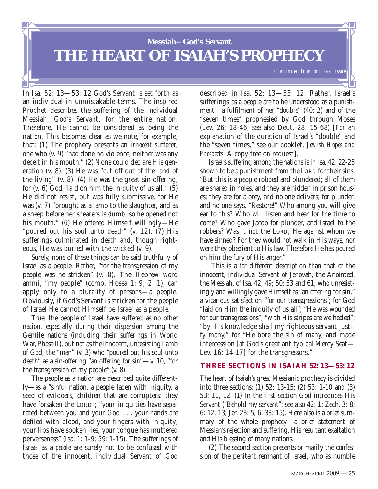**Messiah**—**God's Servant THE HEART OF ISAIAH'S PROPHECY**

In Isa. 52: 13—53: 12 God's Servant is set forth as an individual in unmistakable terms. The inspired Prophet describes the suffering of the individual Messiah, God's Servant, for the entire nation. Therefore, He cannot be considered as being the nation. This becomes clear as we note, for example, that: (1) The prophecy presents an *innocent* sufferer, one who (v. 9) "had done no violence, neither was any deceit in his mouth." (2) None could declare His generation (v. 8). (3) He was "cut off out of the land of the living" (v. 8). (4) He was the great sin-offering, for (v. 6) God "laid on him the iniquity of us all." (5) He did not resist, but was fully submissive, for He was (v. 7) "brought as a lamb to the slaughter, and as a sheep before her shearers is dumb, so he opened not his mouth." (6) He offered Himself willingly—He "poured out his soul unto death" (v. 12). (7) His sufferings culminated in death and, though righteous, He was buried with the wicked (v. 9).

Surely, none of these things can be said truthfully of Israel as a people. Rather, "for the transgression of my people was he stricken" (v. 8). The Hebrew word ammi, "my people" (comp. Hosea 1: 9; 2: 1), can apply only to a plurality of persons—a people. Obviously, if God's Servant is stricken for the people of Israel He cannot Himself be Israel as a people.

True, the people of Israel have suffered as no other nation, especially during their dispersion among the Gentile nations (including their sufferings in World War, Phase II), but not as the innocent, unresisting Lamb of God, the "man" (v. 3) who "poured out his soul unto death" as a sin-offering "an offering for sin"—v. 10, "for the transgression of my people" (v. 8).

The people as a nation are described quite differently—as a "sinful nation, a people laden with iniquity, a seed of evildoers, children that are corrupters: they have forsaken the LORD"; "your iniquities have separated between you and your God . . . your hands are defiled with blood, and your fingers with iniquity; your lips have spoken lies, your tongue has muttered perverseness" (Isa. 1: 1-9; 59: 1-15). The sufferings of Israel as a *people* are surely not to be confused with those of the innocent, individual Servant of God described in Isa. 52: 13—53: 12. Rather, Israel's sufferings as a people are to be understood as a punishment—a fulfilment of her "double" (40: 2) and of the "seven times" prophesied by God through Moses (Lev. 26: 18-46; see also Deut. 28: 15-68) [For an explanation of the duration of Israel's "double" and the "seven times," see our booklet, *Jewish Hopes and Prospects.* A copy free on request].

Israel's suffering among the nations is in Isa. 42: 22-25 shown to be a punishment from the LORD for their sins: "But this is a people robbed and plundered; all of them are snared in holes, and they are hidden in prison houses; they are for a prey, and no one delivers; for plunder, and no one says, "Restore!" Who among you will give ear to this? Who will listen and hear for the time to come? Who gave Jacob for plunder, and Israel to the robbers? Was it not the LORD, He against whom we have sinned? For they would not walk in His ways, nor were they obedient to His law. Therefore He has poured on him the fury of His anger."

This is a far different description than that of the innocent, individual Servant of Jehovah, the Anointed, the Messiah, of Isa. 42; 49; 50; 53 and 61, who unresistingly and willingly gave Himself as "an offering for sin," a vicarious satisfaction "for our transgressions"; for God "laid on Him the iniquity of us all"; "He was wounded for our transgressions"; "with His stripes are we healed"; "by His knowledge shall my righteous servant justify many," for "He bore the sin of many, and made intercession [at God's great antitypical Mercy Seat— Lev. 16: 14-17] for the transgressors."

# **THREE SECTIONS IN ISAIAH 52: 13—53: 12**

The heart of Isaiah's great Messianic prophecy is divided into three sections: (1) 52: 13-15; (2) 53: 1-10 and (3) 53: 11, 12. (1) In the first section God introduces His Servant ("Behold my servant"; see also 42: 1; Zech. 3: 8; 6: 12, 13; Jer. 23: 5, 6; 33: 15). Here also is a brief summary of the whole prophecy—a brief statement of Messiah's rejection and suffering, His resultant exaltation and His blessing of many nations.

(2) The second section presents primarily the confession of the penitent remnant of Israel, who as humble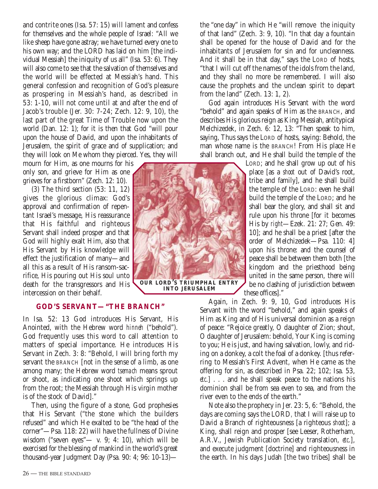and contrite ones (Isa. 57: 15) will lament and confess for themselves and the whole people of Israel: "All we like sheep have gone astray; we have turned every one to his own way; and the LORD has laid on him [the individual Messiah] the iniquity of us all" (Isa. 53: 6). They will also come to see that the salvation of themselves and the world will be effected at Messiah's hand. This general confession and recognition of God's pleasure as prospering in Messiah's hand, as described in 53: 1-10, will not come until at and after the end of Jacob's trouble (Jer. 30: 7-24; Zech. 12: 9, 10), the last part of the great Time of Trouble now upon the world (Dan. 12: 1); for it is then that God "will pour upon the house of David, and upon the inhabitants of Jerusalem, the spirit of grace and of supplication; and they will look on Me whom they pierced. Yes, they will

mourn for Him, as one mourns for his only son, and grieve for Him as one grieves for a firstborn" (Zech. 12: 10).

(3) The third section (53: 11, 12) gives the glorious climax: God's approval and confirmation of repentant Israel's message, His reassurance that His faithful and righteous Servant shall indeed prosper and that God will highly exalt Him, also that His Servant by His knowledge will effect the justification of many—and all this as a result of His ransom-sacrifice, His pouring out His soul unto death for the transgressors and His intercession on their behalf.



**INTO JERUSALEM**

# **GOD'S SERVANT—"THE BRANCH"**

In Isa. 52: 13 God introduces His Servant, His Anointed, with the Hebrew word *hinneh* ("behold"). God frequently uses this word to call attention to matters of special importance. He introduces His Servant in Zech. 3: 8: "Behold, I will bring forth my servant the BRANCH [not in the sense of a limb, as one among many; the Hebrew word *tsemach* means sprout or shoot, as indicating one shoot which springs up from the root; the Messiah through His virgin mother is of the stock of David]."

Then, using the figure of a stone, God prophesies that His Servant ("the stone which the builders refused" and which He exalted to be "the head of the corner"—Psa. 118: 22) will have the fullness of Divine wisdom ("seven eyes"— v. 9; 4: 10), which will be exercised for the blessing of mankind in the world's great thousand-year Judgment Day (Psa. 90: 4; 96: 10-13)—

the "one day" in which He "will remove the iniquity of that land" (Zech. 3: 9, 10). "In that day a fountain shall be opened for the house of David and for the inhabitants of Jerusalem for sin and for uncleanness. And it shall be in that day," says the LORD of hosts, "that I will cut off the names of the idols from the land, and they shall no more be remembered. I will also cause the prophets and the unclean spirit to depart from the land" (Zech. 13: 1, 2).

God again introduces His Servant with the word "behold" and again speaks of Him as the BRANCH, and describes His glorious reign as King Messiah, antitypical Melchizedek, in Zech. 6: 12, 13: "Then speak to him, saying, Thus says the LORD of hosts, saying: Behold, the man whose name is the BRANCH! From His place He shall branch out, and He shall build the temple of the

> LORD; and he shall grow up out of his place [as a *shoot* out of David's root, tribe and family], and he shall build the temple of the LORD: even he shall build the temple of the LORD; and he shall bear the glory, and shall sit and rule upon his throne [for it becomes His by *right*—Ezek. 21: 27; Gen. 49: 10]; and he shall be a priest [after the order of Melchizedek—Psa. 110: 4] upon his throne: and the counsel of peace shall be between them both [the kingdom and the priesthood being united in the same person, there will be no clashing of jurisdiction between these offices]."

Again, in Zech. 9: 9, 10, God introduces His Servant with the word "behold," and again speaks of Him as King and of His universal dominion as a reign of peace: "Rejoice greatly, O daughter of Zion; shout, O daughter of Jerusalem: behold, Your King is coming to you; He is just, and having salvation, lowly, and riding on a donkey, a colt the foal of a donkey. [thus referring to Messiah's First Advent, when He came as the offering for sin, as described in Psa. 22; 102; Isa. 53, *etc*.] . . . and he shall speak peace to the nations his dominion shall be from sea even to sea, and from the river even to the ends of the earth."

Note also the prophecy in Jer. 23: 5, 6: "Behold, the days are coming says the LORD*,* that I will raise up to David a Branch of righteousness [a righteous *shoot*]; a King, shall reign and prosper [see Leeser, Rotherham, A.R.V., Jewish Publication Society translation, *etc*.], and execute judgment [doctrine] and righteousness in the earth. In his days Judah [the two tribes] shall be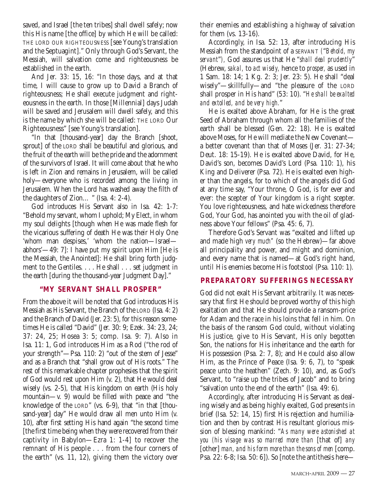saved, and Israel [the ten tribes] shall dwell safely; now this His name [the office] by which He will be called: THE LORD OUR RIGHTEOUSNESS [see Young's translation and the Septuagint]." Only through God's Servant, the Messiah, will salvation come and righteousness be established in the earth.

And Jer. 33: 15, 16: "In those days, and at that time, I will cause to grow up to David a Branch of righteousness; He shall execute judgment and righteousness in the earth. In those [Millennial] days Judah will be saved and Jerusalem will dwell safely, and this is the name by which she will be called: THE LORD Our Righteousness" [see Young's translation].

"In that [thousand-year] day the Branch [shoot, sprout] of the LORD shall be beautiful and glorious, and the fruit of the earth will be the pride and the adornment of the survivors of Israel. It will come about that he who is left in Zion and remains in Jerusalem, will be called holy—everyone who is recorded among the living in Jerusalem. When the Lord has washed away the filth of the daughters of Zion… " (Isa. 4: 2-4).

God introduces His Servant also in Isa. 42: 1-7: "Behold my servant, whom I uphold; My Elect, in whom my soul delights [though when He was made flesh for the vicarious suffering of death He was their Holy One 'whom man despises,' 'whom the nation—Israel abhors'—49: 7]: I have put my spirit upon Him [He is the Messiah, the Anointed]: He shall bring forth judgment to the Gentiles. . . . He shall . . . set judgment in the earth [during the thousand-year Judgment Day]."

# **"MY SERVANT SHALL PROSPER"**

From the above it will be noted that God introduces His Messiah as His Servant, the Branch of the LORD (Isa. 4: 2) and the Branch of David (Jer. 23: 5), for this reason sometimes He is called "David" (Jer. 30: 9; Ezek. 34: 23, 24; 37: 24, 25; Hosea 3: 5; comp. Isa. 9: 7). Also in Isa. 11: 1, God introduces Him as a Rod ("the rod of your strength"—Psa. 110: 2) "out of the stem of Jesse" and as a Branch that "shall grow out of His roots." The rest of this remarkable chapter prophesies that the spirit of God would rest upon Him (v. 2), that He would deal wisely (vs. 2-5), that His kingdom on earth (His holy mountain—v. 9) would be filled with peace and "the knowledge of the LORD" (vs. 6-9), that "in that [thousand-year] day" He would draw all men unto Him (v. 10), after first setting His hand again "the second time [the first time being when they were recovered from their captivity in Babylon—Ezra 1: 1-4] to recover the remnant of His people . . . from the four corners of the earth" (vs. 11, 12), giving them the victory over

their enemies and establishing a highway of salvation for them (vs. 13-16).

Accordingly, in Isa. 52: 13, after introducing His Messiah from the standpoint of a SERVANT *(*"*Behold, my servant*"*),* God assures us that He "*shall deal prudently*" (Hebrew, *sakal,* to *act wisely,* hence to *prosper,* as used in 1 Sam. 18: 14; 1 Kg. 2: 3; Jer. 23: 5). He shall "deal wisely"—skillfully—and "the pleasure of the LORD shall prosper in His hand" (53: 10). "*He shall be exalted and extolled, and be very high.*"

He is exalted above Abraham, for He is the great Seed of Abraham through whom all the families of the earth shall be blessed (Gen. 22: 18). He is exalted above Moses, for He will mediate the New Covenant a better covenant than that of Moses (Jer. 31: 27-34; Deut. 18: 15-19). He is exalted above David, for He, David's son, becomes David's Lord (Psa. 110: 1), his King and Deliverer (Psa. 72). He is exalted even higher than the angels, for to which of the angels did God at any time say, "Your throne, O God, is for ever and ever: the scepter of Your kingdom is a right scepter. You love righteousness, and hate wickedness therefore God, Your God, has anointed you with the oil of gladness above Your fellows" (Psa. 45: 6, 7).

Therefore God's Servant was "exalted and lifted up and made high *very much"* (so the Hebrew)—far above all principality and power, and might and dominion, and every name that is named—at God's right hand, until His enemies become His footstool (Psa. 110: 1).

# **PREPARATORY SUFFERINGS NECESSARY**

God did not exalt His Servant arbitrarily. It was necessary that first He should be proved worthy of this high exaltation and that He should provide a ransom-price for Adam and the race in his loins that fell in him. On the basis of the ransom God could, without violating His justice, give to His Servant, His only begotten Son, the nations for His inheritance and the earth for His possession (Psa. 2: 7, 8); and He could also allow Him, as the Prince of Peace (Isa. 9: 6, 7), to "speak peace unto the heathen" (Zech. 9: 10), and, as God's Servant, to "raise up the tribes of Jacob" and to bring "salvation unto the end of the earth" (Isa. 49: 6).

Accordingly, after introducing His Servant as dealing wisely and as being highly exalted, God presents in brief (Isa. 52: 14, 15) first His rejection and humiliation and then by contrast His resultant glorious mission of blessing mankind: "*As many were astonished at you (his visage was so marred more than* [that of] *any* [other] *man, and his form more than the sons of men* [comp. Psa. 22: 6-8; Isa. 50: 6]). So [note the antithesis here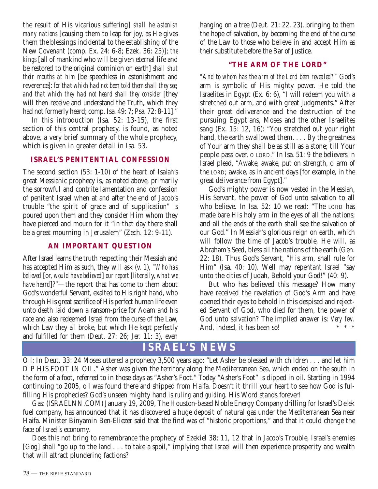the result of His vicarious suffering] *shall he astonish many nations* [causing them to leap for joy, as He gives them the blessings incidental to the establishing of the New Covenant (comp. Ex. 24: 6-8; Ezek. 36: 25)]; *the kings* [all of mankind who will be given eternal life and be restored to the original dominion on earth] *shall shut their mouths at him* [be speechless in astonishment and reverence]: *for that which had not been told them shall they see; and that which they had not heard shall they consider* [they will then receive and understand the Truth, which they had not formerly heard; comp. Isa. 49: 7; Psa. 72: 8-11]."

In this introduction (Isa. 52: 13-15), the first section of this central prophecy, is found, as noted above, a very brief summary of the whole prophecy, which is given in greater detail in Isa. 53.

# **ISRAEL'S PENITENTIAL CONFESSION**

The second section (53: 1-10) of the heart of Isaiah's great Messianic prophecy is, as noted above, primarily the sorrowful and contrite lamentation and confession of penitent Israel when at and after the end of Jacob's trouble "the spirit of grace and of supplication" is poured upon them and they consider Him whom they have pierced and mourn for it "in that day there shall be a great mourning in Jerusalem" (Zech. 12: 9-11).

# **AN IMPORTANT QUESTION**

After Israel learns the truth respecting their Messiah and has accepted Him as such, they will ask (v. 1), *"Who has believed* [or, *would have believed*] *our report* [literally, *what we have heard*]?"—the report that has come to them about God's wonderful Servant, exalted to His right hand, who through His great sacrifice of His perfect human life even unto death laid down a ransom-price for Adam and his race and also redeemed Israel from the curse of the Law, which Law they all broke, but which He kept perfectly and fulfilled for them (Deut. 27: 26; Jer. 11: 3), even

hanging on a tree (Deut. 21: 22, 23), bringing to them the hope of salvation, by becoming the end of the curse of the Law to those who believe in and accept Him as their substitute before the Bar of Justice.

# **"THE ARM OF THE LORD"**

*"And to whom has the arm of the Lord been revealed?"* God's arm is symbolic of His mighty power. He told the Israelites in Egypt (Ex. 6: 6), "I will redeem you with a stretched out arm, and with great judgments." After their great deliverance and the destruction of the pursuing Egyptians, Moses and the other Israelites sang (Ex. 15: 12, 16): "You stretched out your right hand, the earth swallowed them. . . . By the greatness of Your arm they shall be as still as a stone; till Your people pass over, O LORD." In Isa. 51: 9 the believers in Israel plead, "Awake, awake, put on strength, O arm of the LORD; awake, as in ancient days [for example, in the great deliverance from Egypt]."

God's mighty power is now vested in the Messiah, His Servant, the power of God unto salvation to all who believe. In Isa. 52: 10 we read: "The LORD has made bare His holy arm in the eyes of all the nations; and all the ends of the earth shall see the salvation of our God." In Messiah's glorious reign on earth, which will follow the time of Jacob's trouble, He will, as Abraham's Seed, bless all the nations of the earth (Gen. 22: 18). Thus God's Servant, "His arm, shall rule for Him" (Isa. 40: 10). Well may repentant Israel "say unto the cities of Judah, Behold your God!" (40: 9).

But who has believed this message? How many have received the revelation of God's Arm and have opened their eyes to behold in this despised and rejected Servant of God, who died for them, the power of God unto salvation? The implied answer is: *Very few.*<br>And indeed it has been sol And, indeed, it has been so!

# **ISRAEL'S NEWS**

Oil: In Deut. 33: 24 Moses uttered a prophecy 3,500 years ago: "Let Asher be blessed with children . . . and let him DIP HIS FOOT IN OIL." Asher was given the territory along the Mediterranean Sea, which ended on the south in the form of a foot, referred to in those days as "Asher's Foot." Today "Asher's Foot" is dipped in oil. Starting in 1994 continuing to 2005, oil was found there and shipped from Haifa. Doesn't it thrill your heart to see how God is fulfilling His prophecies? God's unseen mighty hand is *ruling* and *guiding.* His Word stands forever!

Gas: (ISRAELNN.COM) January 19, 2009, The Houston-based Noble Energy Company drilling for Israel's Delek fuel company, has announced that it has discovered a huge deposit of natural gas under the Mediterranean Sea near Haifa. Minister Binyamin Ben-Eliezer said that the find was of "historic proportions," and that it could change the face of Israel's economy.

Does this not bring to remembrance the prophecy of Ezekiel 38: 11, 12 that in Jacob's Trouble, Israel's enemies [Gog] shall "go up to the land . . . to take a spoil," implying that Israel will then experience prosperity and wealth that will attract plundering factions?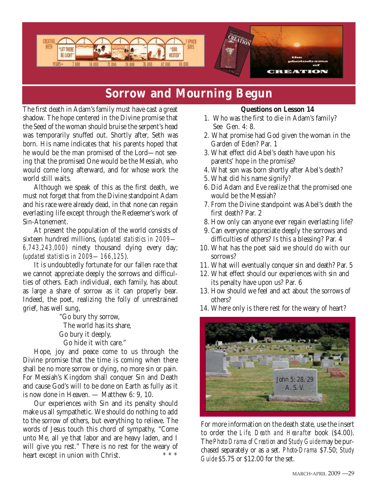

# **Sorrow and Mourning Begun**

The first death in Adam's family must have cast a great shadow. The hope centered in the Divine promise that the Seed of the woman should bruise the serpent's head was temporarily snuffed out. Shortly after, Seth was born. His name indicates that his parents hoped that he would be the man promised of the Lord—not seeing that the promised One would be the Messiah, who would come long afterward, and for whose work the world still waits.

Although we speak of this as the first death, we must not forget that from the Divine standpoint Adam and his race were already dead, in that none can regain everlasting life except through the Redeemer's work of Sin-Atonement.

At present the population of the world consists of sixteen hundred millions, (*updated statistics in 2009— 6,743,243,000*) ninety thousand dying every day; (*updated statistics in 2009—166,125*).

It is undoubtedly fortunate for our fallen race that we cannot appreciate deeply the sorrows and difficulties of others. Each individual, each family, has about as large a share of sorrow as it can properly bear. Indeed, the poet, realizing the folly of unrestrained grief, has well sung,

"Go bury thy sorrow, The world has its share, Go bury it deeply, Go hide it with care."

Hope, joy and peace come to us through the Divine promise that the time is coming when there shall be no more sorrow or dying, no more sin or pain. For Messiah's Kingdom shall conquer Sin and Death and cause God's will to be done on Earth as fully as it is now done in Heaven. — Matthew 6: 9, 10.

Our experiences with Sin and its penalty should make us all sympathetic. We should do nothing to add to the sorrow of others, but everything to relieve. The words of Jesus touch this chord of sympathy, "Come unto Me, all ye that labor and are heavy laden, and I will give you rest." There is no rest for the weary of heart avec in union with Christ  $**$ heart except in union with Christ.

# **Questions on Lesson 14**

- 1. Who was the first to die in Adam's family? See Gen. 4: 8.
- 2. What promise had God given the woman in the Garden of Eden? Par. 1
- 3. What effect did Abel's death have upon his parents' hope in the promise?
- 4. What son was born shortly after Abel's death?
- 5. What did his name signify?
- 6. Did Adam and Eve realize that the promised one would be the Messiah?
- 7. From the Divine standpoint was Abel's death the first death? Par. 2
- 8. How only can anyone ever regain everlasting life?
- 9. Can everyone appreciate deeply the sorrows and difficulties of others? Is this a blessing? Par. 4
- 10. What has the poet said we should do with our sorrows?
- 11. What will eventually conquer sin and death? Par. 5
- 12. What effect should our experiences with sin and its penalty have upon us? Par. 6
- 13. How should we feel and act about the sorrows of others?
- 14. Where only is there rest for the weary of heart?



For more information on the death state, use the insert to order the *Life, Death and Hearafter* book (\$4.00). The *Photo Drama of Creation* and *Study Guide* may be purchased separately or as a set. *Photo-Drama* \$7.50; *Study Guide* \$5.75 or \$12.00 for the set.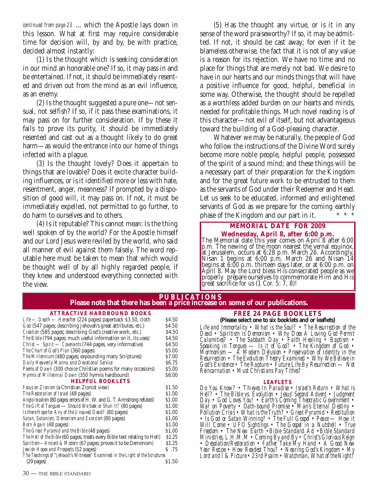continued from page 23 ... which the Apostle lays down in this lesson. What at first may require considerable time for decision will, by and by, be with practice, decided almost instantly:

(1) Is the thought which is seeking consideration in our mind an honorable one? If so, it may pass in and be entertained. If not, it should be immediately resented and driven out from the mind as an evil influence, as an enemy.

(2) Is the thought suggested a pure one—not sensual, not selfish? If so, if it pass these examinations, it may pass on for further consideration. If by these it fails to prove its purity, it should be immediately resented and cast out as a thought likely to do great harm—as would the entrance into our home of things infected with a plague.

(3) Is the thought lovely? Does it appertain to things that are lovable? Does it excite character building influences, or is it identified more or less with hate, resentment, anger, meanness? If prompted by a disposition of good will, it may pass on. If not, it must be immediately expelled, not permitted to go further, to do harm to ourselves and to others.

(4) Is it reputable? This cannot mean: Is the thing well spoken of by the world? For the Apostle himself and our Lord Jesus were reviled by the world, who said all manner of evil against them falsely. The word reputable here must be taken to mean that which would be thought well of by all highly regarded people, if they knew and understood everything connected with the view.

(5) Has the thought any virtue, or is it in any sense of the word praiseworthy? If so, it may be admitted. If not, it should be cast away; for even if it be blameless otherwise, the fact that it is not of any value is a reason for its rejection. We have no time and no place for things that are merely not bad. We desire to have in our hearts and our minds things that will have a positive influence for good, helpful, beneficial in some way. Otherwise, the thought should be repelled as a worthless added burden on our hearts and minds, needed for profitable things. Much novel reading is of this character—not evil of itself, but not advantageous toward the building of a God-pleasing character.

Whatever we may be naturally, the people of God who follow the instructions of the Divine Word surely become more noble people, helpful people, possessed of the spirit of a sound mind; and these things will be a necessary part of their preparation for the Kingdom and for the great future work to be entrusted to them as the servants of God under their Redeemer and Head. Let us seek to be educated, informed and enlightened servants of God as we prepare for the coming earthly phase of the Kingdom and our part in it.

# **MEMORIAL DATE FOR 2009**

**Wednesday, April 8, after 6:00 p.m.** The Memorial date this year comes on April 8 after 6:00 p.m. The newing of the moon nearest the vernal equinox, at Jerusalem, occurs at 6:28 p.m. March 26. Accordingly, Nisan 1 begins at 6:00 p.m. March 26 and Nisan 14 begins at 6:00 p.m. thirteen days later, or at 6:00 p.m. on April 8. May the Lord bless His consecrated people as we properly prepare ourselves to commemorate Him and His great sacrifice for us (1 Cor. 5: 7, 8)!

# **PUBLICATIONS Please note that there has been a price increase on some of our publications.**

#### **ATTRACTIVE HARDBOUND BOOKS**

*Life* — *Death* — *Hereafter* (224 pages) paperback \$3.50, cloth \$4.50<br> *God* (547 pages; describing Jehovah's great attributes, etc.) \$4.50 God (547 pages; describing Jehovah's great attributes, etc.) *Creation* (585 pages; describing God's creative work, etc.) \$4.50 *The Bible* (794 pages; much useful information on it, its uses) \$4.50 *Christ — Spirit — Covenants* (744 pages, very informative) \$4.50 *The Chart of God's Plan* (360 pages) **35.00**<br>The Millennium (480 pages: expounding many Scriptures) 57.00 *The Millennium* (480 pages; expounding many Scriptures) *Daily Heavenly Manna and Devotional Service* \$6.75 *Poems of Dawn* (300 choice Christian poems for many occasions) \$5.00<br>*Hymns of Millennial Dawn* (350 hymns hardbound) \$6.00 *Hymns of Millennial Dawn* (350 hymns hardbound) **HELPFUL BOOKLETS** *Focus on Zionism* (a Christian Zionist view) \$1.50<br>The Restoration of Israel (48 pages) \$1.00 **The Restoration of Israel (48 pages)** *Anglo-Israelism* (80 pages; errors of H. W. and G. T. Armstrong refuted) \$1.00 *The Gift of Tongues* — *Should We Seek or Shun It?* (80 pages) \$1.00<br>*Is there Hope for Any of the Unsaved Dead?* (80 pages) \$1.00 *Is there Hope for Any of the Unsaved Dead?* (80 pages) *Satan, Satanism, Demonism and Exorcism* (80 pages) \$1.00 *Born Again* (48 pages) \$1.00<br>The Great Pyramid and the Bible (48 pages) \$1.00 *The Great Pyramid and the Bible* (48 pages) \$1.00<br>*The Hell of the Bible* (60 pages: treats every Bible text relating to Hell) \$1.25 *The Hell of the Bible* (60 pages; treats every Bible text relating to Hell) *Spiritism—Ancient & Modern* (67 pages; proves it to be Demonism) \$1.25 *Jewish Hopes and Prospects* (52 pages) *The Teachings of "Jehovah's Witnesses" Examined in the Light of the Scriptures*   $(29$  pages)

# **FREE 24 PAGE BOOKLETS**

**(Please select one to six booklets and or leaflets)** *Life and Immortality • What is the Soul? • The Resurrection of the Dead • Spiritism is Demonism • Why Does A Loving God Permit Calamities? • The Sabbath Day • Faith Healing • Baptism • Speaking in Tongues — Is it of God? • The Kingdom of God • Mormonism — A Modern Delusion • Preservation of Identity in the Resurrection • The Evolution Theory Examined • Why We Believe in God's Existence • The Rapture • Future Life By Resurrection — Not Reincarnation • Must Christians Pay Tithes?*

#### **LEAFLETS**

*Do You Know? • Thieves In Paradise • Israel's Return • What is Hell? • The Bible vs. Evolution • Jesus' Second Advent • Judgment Day • God Loves You! • Earth's Coming Theocratic Government • War on Poverty • Oath-bound Promise • Man's Eternal Destiny • Pollution Crisis • What is the Truth? • Great Pyramid • Restitution • Is God or Satan Winning? • The Full Gospel • Peace — How it Will Come • UFO Sightings • The Gospel in a Nutshell • True Freedom • The New Earth •Bible Standard Ad •Bible Standard Ministries, L.H.M.M • Coming By and By • Christ's Glorious Reign • Desolation/Restoration • Father Take My Hand • A Good New Year Recipe • How Readest Thou? • Nearing God's Kingdom • My Lord and I & Picture • 23rd Psalm • Watchman, What of the Night?*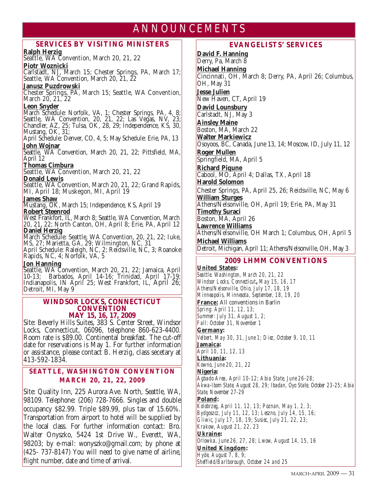# ANNOUNCEMENTS

# **SERVICES BY VISITING MINISTERS**

# **Ralph Herzig**

Seattle, WA Convention, March 20, 21, 22

# **Piotr Woznicki**

Carlstadt, NJ, March 15; Chester Springs, PA, March 17; Seattle, WA Convention, March 20, 21, 22

# **Janusz Puzdrowski**

Chester Springs, PA, March 15; Seattle, WA Convention, March 20, 21, 22

# **Leon Snyder**

March Schedule: Norfolk, VA, 1; Chester Springs, PA, 4, 8; Seattle, WA Convention, 20, 21, 22; Las Vegas, NV, 23; Chandler, AZ, 25; Tulsa, OK, 28, 29; Independence, KS, 30, Mustang, OK, 31;

April Schedule: Denver, CO, 4, 5; May Schedule: Erie, PA, 13

<mark>John Wojnar</mark><br>Seattle, WA Convention, March 20, 21, 22; Pittsfield, MA, April 12

# **Thomas Cimbura**

Seattle, WA Convention, March 20, 21, 22

# **Donald Lewis**

Seattle, WA Convention, March 20, 21, 22; Grand Rapids, MI, April 18; Muskegon, MI, April 19

#### **James Shaw**

Mustang, OK, March 15; Independence, KS, April 19 **Robert Steenrod**

West Frankfort, IL, March 8; Seattle, WA Convention, March 20, 21, 22; North Canton, OH, April 8; Erie, PA, April 12 **Daniel Herzig**

March Schedule: Seattle, WA Convention, 20, 21, 22; Iuke, MS, 27; Marietta, GA, 29; Wilmington, NC, 31

April Schedule: Raleigh, NC, 2; Reidsville, NC, 3; Roanoke Rapids, NC, 4; Norfolk, VA, 5

# **Jon Hanning**

Seattle, WA Convention, March 20, 21, 22; Jamaica, April 10-13; Barbados, April 14-16; Trinidad, April 17-19; Indianapolis, IN April 25; West Frankfort, IL, April 26; Detroit, MI, May 9

#### **WINDSOR LOCKS, CONNECTICUT CONVENTION MAY 15, 16, 17, 2009**

Site: Beverly Hills Suites, 383 S. Center Street, Windsor Locks, Connecticut, 06096, telephone 860-623-4400. Room rate is \$89.00. Continental breakfast. The cut-off date for reservations is May 1. For further information or assistance, please contact B. Herzig, class secetary at 413-592-1834.

# **SEATTLE, WASHINGTON CONVENTION MARCH 20, 21, 22, 2009**

Site: Quality Inn, 225 Aurora Ave. North, Seattle, WA, 98109. Telephone: (206) 728-7666. Singles and double occupancy \$82.99. Triple \$89.99, plus tax of 15.60%. Transportation from airport to hotel will be supplied by the local class. For further information contact: Bro. Walter Onyszko, 5424 1st Drive W., Everett, WA, 98203; by e-mail: wonyszko@gmail.com; by phone at (425- 737-8147) You will need to give name of airline, flight number, date and time of arrival.

# **EVANGELISTS' SERVICES**

**David F. Hanning** Derry, Pa, March 8 **Michael Hanning** Cincinnati, OH, March 8; Derry, PA, April 26; Columbus, OH, May 31 **Jesse Julien** New Haven, CT, April 19 **David Lounsbury** Carlstadt, NJ, May 3 **Ainsley Maine** Boston, MA, March 22 **Walter Markiewicz** Osoyoos, BC, Canada, June 13, 14; Moscow, ID, July 11, 12 **Roger Mullen** Springfield, MA, April 5 **Richard Piqune** Cabool, MO, April 4; Dallas, TX, April 18 **Harold Solomon** Chester Springs, PA, April 25, 26; Reidsville, NC, May 6 **William Sturges** Athens/Nelsonville, OH, April 19; Erie, PA, May 31 **Timothy Suraci** Boston, MA, April 26 **Lawrence Williams** Athens/Nelsonville, OH March 1; Columbus, OH, April 5 **Michael Williams** Detroit, Michigan, April 11; Athens/Nelsonville, OH, May 3

# **2009 LHMM CONVENTIONS**

**United States:**  *Seattle. Washington, March 20, 21, 22 Windsor Locks, Connecticut, May 15, 16, 17 Athens/Nelsonville, Ohio, July 17, 18, 19 Minneapolis, Minnesota, September, 18, 19, 20* **France:** All conventions in Barlin *Spring: April 11, 12, 13; Summer: July 31, August 1, 2; Fall: October 31, November 1* **Germany:**  *Velbert, May 30, 31, June 1; Diez, October 9, 10, 11* **Jamaica:**  *April 10, 11, 12, 13* **Lithuania:** *Kowno, June 20, 21, 22* **Nigeria:** *Agbado Area, April 10-12; Abia State, June 26-28; Akwa-Ibom State, August 28, 29; Ibadan, Oyo State, October 23-25; Abia State, November 27-29* **Poland:** *Kolobrzeg, April 11, 12, 13; Poznan, May 1, 2, 3; Bydgoszcz, July 11, 12, 13; Leszno, July 14, 15, 16; Gliwic, July 17, 18, 19; Susiec, July 21, 22, 23; Krakow, August 21, 22, 23* **Ukraine:** *Orlowka, June 26, 27, 28; Lwow, August 14, 15, 16* **United Kingdom:**  *Hyde, August 7, 8, 9; Sheffield/Barlborough, October 24 and 25*